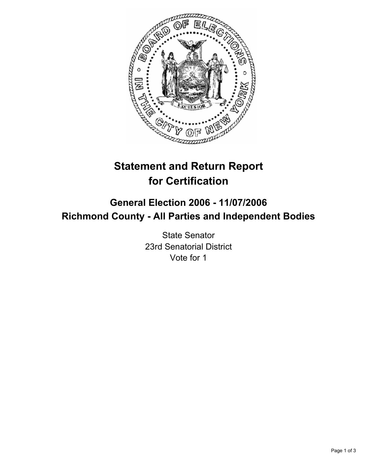

# **Statement and Return Report for Certification**

## **General Election 2006 - 11/07/2006 Richmond County - All Parties and Independent Bodies**

State Senator 23rd Senatorial District Vote for 1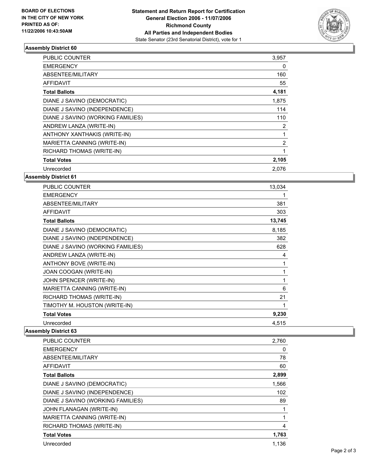

### **Assembly District 60**

| PUBLIC COUNTER                    | 3,957 |  |
|-----------------------------------|-------|--|
| <b>EMERGENCY</b>                  | 0     |  |
| ABSENTEE/MILITARY                 | 160   |  |
| <b>AFFIDAVIT</b>                  | 55    |  |
| <b>Total Ballots</b>              | 4,181 |  |
| DIANE J SAVINO (DEMOCRATIC)       | 1,875 |  |
| DIANE J SAVINO (INDEPENDENCE)     | 114   |  |
| DIANE J SAVINO (WORKING FAMILIES) | 110   |  |
| ANDREW LANZA (WRITE-IN)           | 2     |  |
| ANTHONY XANTHAKIS (WRITE-IN)      |       |  |
| MARIETTA CANNING (WRITE-IN)       | 2     |  |
| RICHARD THOMAS (WRITE-IN)         |       |  |
| <b>Total Votes</b>                | 2,105 |  |
| Unrecorded                        | 2,076 |  |

**Assembly District 61**

| PUBLIC COUNTER                    | 13,034 |
|-----------------------------------|--------|
| <b>EMERGENCY</b>                  |        |
| ABSENTEE/MILITARY                 | 381    |
| <b>AFFIDAVIT</b>                  | 303    |
| <b>Total Ballots</b>              | 13,745 |
| DIANE J SAVINO (DEMOCRATIC)       | 8,185  |
| DIANE J SAVINO (INDEPENDENCE)     | 382    |
| DIANE J SAVINO (WORKING FAMILIES) | 628    |
| ANDREW LANZA (WRITE-IN)           | 4      |
| ANTHONY BOVE (WRITE-IN)           |        |
| JOAN COOGAN (WRITE-IN)            |        |
| JOHN SPENCER (WRITE-IN)           | 1      |
| MARIETTA CANNING (WRITE-IN)       | 6      |
| RICHARD THOMAS (WRITE-IN)         | 21     |
| TIMOTHY M. HOUSTON (WRITE-IN)     | 1      |
| <b>Total Votes</b>                | 9,230  |
| Unrecorded                        | 4,515  |

#### **Assembly District 63**

| <b>PUBLIC COUNTER</b>             | 2,760 |
|-----------------------------------|-------|
| <b>EMERGENCY</b>                  | 0     |
| ABSENTEE/MILITARY                 | 78    |
| AFFIDAVIT                         | 60    |
| <b>Total Ballots</b>              | 2,899 |
| DIANE J SAVINO (DEMOCRATIC)       | 1,566 |
| DIANE J SAVINO (INDEPENDENCE)     | 102   |
| DIANE J SAVINO (WORKING FAMILIES) | 89    |
| JOHN FLANAGAN (WRITE-IN)          |       |
| MARIETTA CANNING (WRITE-IN)       |       |
| RICHARD THOMAS (WRITE-IN)         | 4     |
| <b>Total Votes</b>                | 1,763 |
| Unrecorded                        | 1.136 |